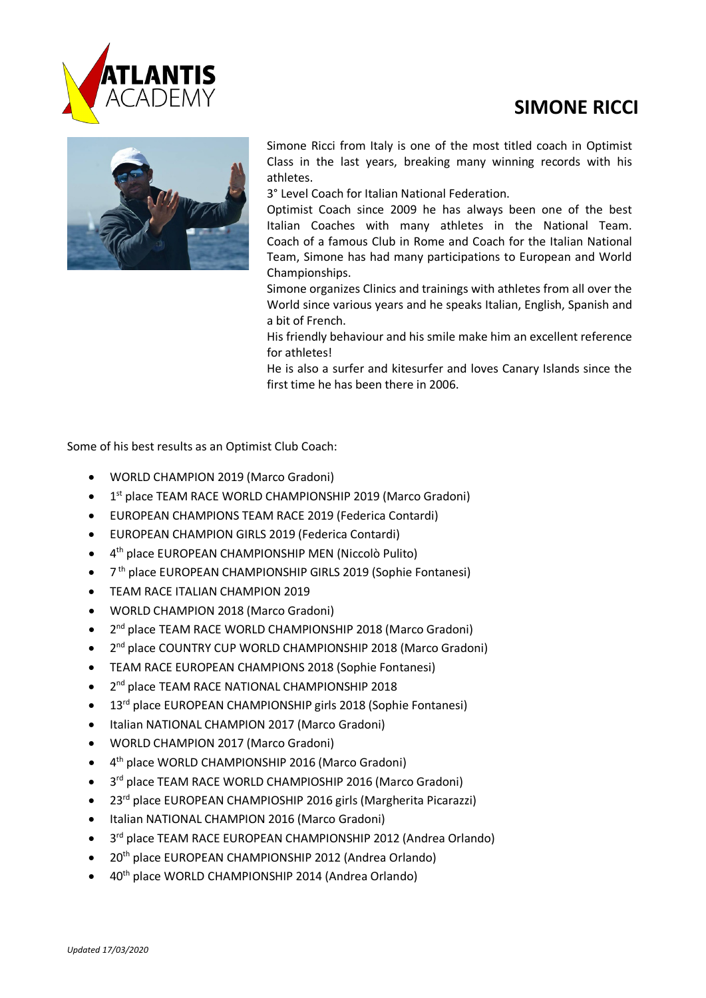

## **SIMONE RICCI**



Simone Ricci from Italy is one of the most titled coach in Optimist Class in the last years, breaking many winning records with his athletes.

3° Level Coach for Italian National Federation.

Optimist Coach since 2009 he has always been one of the best Italian Coaches with many athletes in the National Team. Coach of a famous Club in Rome and Coach for the Italian National Team, Simone has had many participations to European and World Championships.

Simone organizes Clinics and trainings with athletes from all over the World since various years and he speaks Italian, English, Spanish and a bit of French.

His friendly behaviour and his smile make him an excellent reference for athletes!

He is also a surfer and kitesurfer and loves Canary Islands since the first time he has been there in 2006.

Some of his best results as an Optimist Club Coach:

- WORLD CHAMPION 2019 (Marco Gradoni)
- 1<sup>st</sup> place TEAM RACE WORLD CHAMPIONSHIP 2019 (Marco Gradoni)
- EUROPEAN CHAMPIONS TEAM RACE 2019 (Federica Contardi)
- EUROPEAN CHAMPION GIRLS 2019 (Federica Contardi)
- 4th place EUROPEAN CHAMPIONSHIP MEN (Niccolò Pulito)
- 7<sup>th</sup> place EUROPEAN CHAMPIONSHIP GIRLS 2019 (Sophie Fontanesi)
- TEAM RACE ITALIAN CHAMPION 2019
- WORLD CHAMPION 2018 (Marco Gradoni)
- 2<sup>nd</sup> place TEAM RACE WORLD CHAMPIONSHIP 2018 (Marco Gradoni)
- 2<sup>nd</sup> place COUNTRY CUP WORLD CHAMPIONSHIP 2018 (Marco Gradoni)
- TEAM RACE EUROPEAN CHAMPIONS 2018 (Sophie Fontanesi)
- 2<sup>nd</sup> place TEAM RACE NATIONAL CHAMPIONSHIP 2018
- 13<sup>rd</sup> place EUROPEAN CHAMPIONSHIP girls 2018 (Sophie Fontanesi)
- Italian NATIONAL CHAMPION 2017 (Marco Gradoni)
- WORLD CHAMPION 2017 (Marco Gradoni)
- 4th place WORLD CHAMPIONSHIP 2016 (Marco Gradoni)
- 3<sup>rd</sup> place TEAM RACE WORLD CHAMPIOSHIP 2016 (Marco Gradoni)
- 23<sup>rd</sup> place EUROPEAN CHAMPIOSHIP 2016 girls (Margherita Picarazzi)
- Italian NATIONAL CHAMPION 2016 (Marco Gradoni)
- 3<sup>rd</sup> place TEAM RACE EUROPEAN CHAMPIONSHIP 2012 (Andrea Orlando)
- 20<sup>th</sup> place EUROPEAN CHAMPIONSHIP 2012 (Andrea Orlando)
- 40th place WORLD CHAMPIONSHIP 2014 (Andrea Orlando)